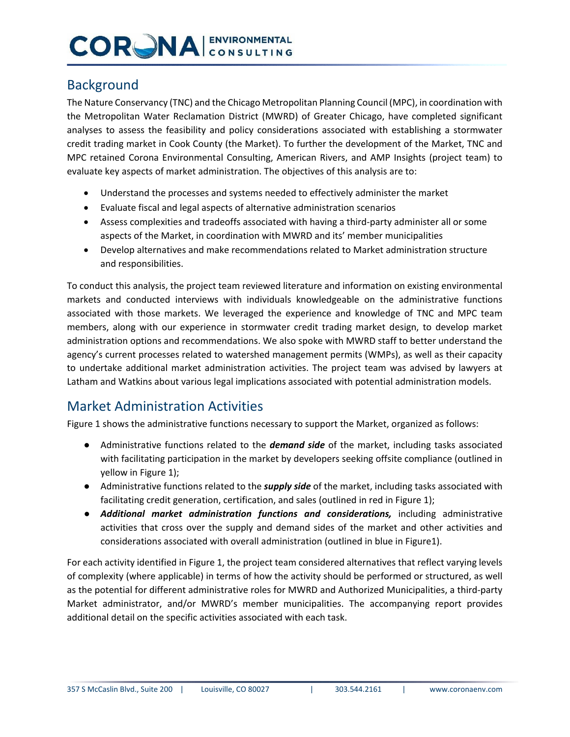## **CORGNA ENVIRONMENTAL**

### Background

The Nature Conservancy (TNC) and the Chicago Metropolitan Planning Council (MPC), in coordination with the Metropolitan Water Reclamation District (MWRD) of Greater Chicago, have completed significant analyses to assess the feasibility and policy considerations associated with establishing a stormwater credit trading market in Cook County (the Market). To further the development of the Market, TNC and MPC retained Corona Environmental Consulting, American Rivers, and AMP Insights (project team) to evaluate key aspects of market administration. The objectives of this analysis are to:

- Understand the processes and systems needed to effectively administer the market
- Evaluate fiscal and legal aspects of alternative administration scenarios
- Assess complexities and tradeoffs associated with having a third-party administer all or some aspects of the Market, in coordination with MWRD and its' member municipalities
- Develop alternatives and make recommendations related to Market administration structure and responsibilities.

To conduct this analysis, the project team reviewed literature and information on existing environmental markets and conducted interviews with individuals knowledgeable on the administrative functions associated with those markets. We leveraged the experience and knowledge of TNC and MPC team members, along with our experience in stormwater credit trading market design, to develop market administration options and recommendations. We also spoke with MWRD staff to better understand the agency's current processes related to watershed management permits (WMPs), as well as their capacity to undertake additional market administration activities. The project team was advised by lawyers at Latham and Watkins about various legal implications associated with potential administration models.

### Market Administration Activities

Figure 1 shows the administrative functions necessary to support the Market, organized as follows:

- Administrative functions related to the *demand side* of the market, including tasks associated with facilitating participation in the market by developers seeking offsite compliance (outlined in yellow in Figure 1);
- Administrative functions related to the *supply side* of the market, including tasks associated with facilitating credit generation, certification, and sales (outlined in red in Figure 1);
- *Additional market administration functions and considerations,* including administrative activities that cross over the supply and demand sides of the market and other activities and considerations associated with overall administration (outlined in blue in Figure1).

For each activity identified in Figure 1, the project team considered alternatives that reflect varying levels of complexity (where applicable) in terms of how the activity should be performed or structured, as well as the potential for different administrative roles for MWRD and Authorized Municipalities, a third-party Market administrator, and/or MWRD's member municipalities. The accompanying report provides additional detail on the specific activities associated with each task.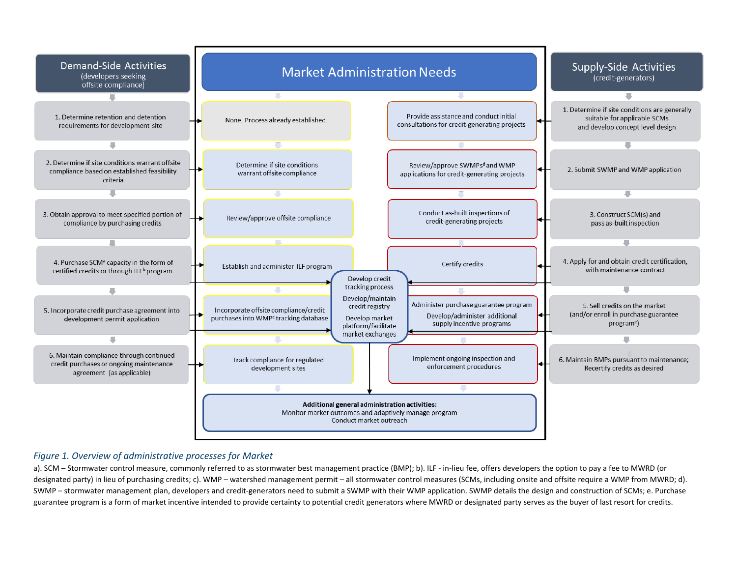

#### *Figure 1. Overview of administrative processes for Market*

a). SCM – Stormwater control measure, commonly referred to as stormwater best management practice (BMP); b). ILF - in-lieu fee, offers developers the option to pay a fee to MWRD (or designated party) in lieu of purchasing credits; c). WMP – watershed management permit – all stormwater control measures (SCMs, including onsite and offsite require a WMP from MWRD; d). SWMP – stormwater management plan, developers and credit-generators need to submit a SWMP with their WMP application. SWMP details the design and construction of SCMs; e. Purchase guarantee program is a form of market incentive intended to provide certainty to potential credit generators where MWRD or designated party serves as the buyer of last resort for credits.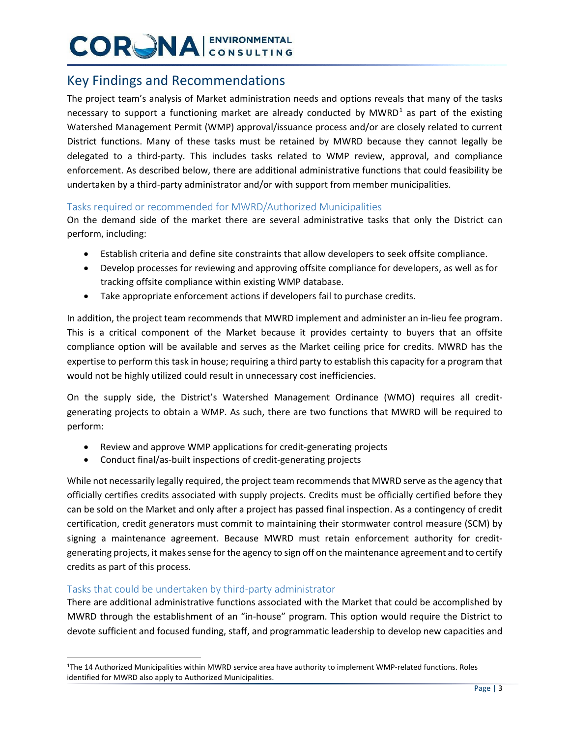## **CORGNA** ENVIRONMENTAL

### Key Findings and Recommendations

The project team's analysis of Market administration needs and options reveals that many of the tasks necessary to support a functioning market are already conducted by  $MWRD<sup>1</sup>$  $MWRD<sup>1</sup>$  $MWRD<sup>1</sup>$  as part of the existing Watershed Management Permit (WMP) approval/issuance process and/or are closely related to current District functions. Many of these tasks must be retained by MWRD because they cannot legally be delegated to a third-party. This includes tasks related to WMP review, approval, and compliance enforcement. As described below, there are additional administrative functions that could feasibility be undertaken by a third-party administrator and/or with support from member municipalities.

### Tasks required or recommended for MWRD/Authorized Municipalities

On the demand side of the market there are several administrative tasks that only the District can perform, including:

- Establish criteria and define site constraints that allow developers to seek offsite compliance.
- Develop processes for reviewing and approving offsite compliance for developers, as well as for tracking offsite compliance within existing WMP database.
- Take appropriate enforcement actions if developers fail to purchase credits.

In addition, the project team recommends that MWRD implement and administer an in-lieu fee program. This is a critical component of the Market because it provides certainty to buyers that an offsite compliance option will be available and serves as the Market ceiling price for credits. MWRD has the expertise to perform this task in house; requiring a third party to establish this capacity for a program that would not be highly utilized could result in unnecessary cost inefficiencies.

On the supply side, the District's Watershed Management Ordinance (WMO) requires all creditgenerating projects to obtain a WMP. As such, there are two functions that MWRD will be required to perform:

- Review and approve WMP applications for credit-generating projects
- Conduct final/as-built inspections of credit-generating projects

While not necessarily legally required, the project team recommends that MWRD serve as the agency that officially certifies credits associated with supply projects. Credits must be officially certified before they can be sold on the Market and only after a project has passed final inspection. As a contingency of credit certification, credit generators must commit to maintaining their stormwater control measure (SCM) by signing a maintenance agreement. Because MWRD must retain enforcement authority for creditgenerating projects, it makes sense for the agency to sign off on the maintenance agreement and to certify credits as part of this process.

#### Tasks that could be undertaken by third-party administrator

There are additional administrative functions associated with the Market that could be accomplished by MWRD through the establishment of an "in-house" program. This option would require the District to devote sufficient and focused funding, staff, and programmatic leadership to develop new capacities and

<span id="page-2-0"></span> <sup>1</sup>The 14 Authorized Municipalities within MWRD service area have authority to implement WMP-related functions. Roles identified for MWRD also apply to Authorized Municipalities.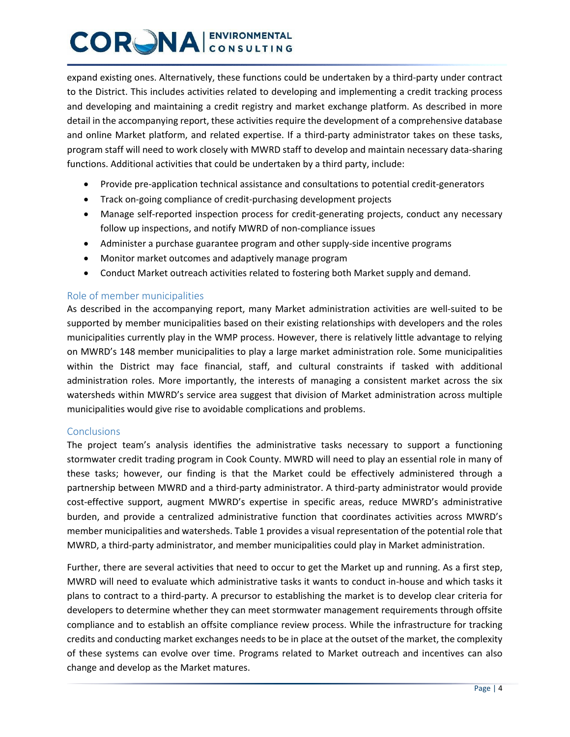## **CORNA ENVIRONMENTAL**

expand existing ones. Alternatively, these functions could be undertaken by a third-party under contract to the District. This includes activities related to developing and implementing a credit tracking process and developing and maintaining a credit registry and market exchange platform. As described in more detail in the accompanying report, these activities require the development of a comprehensive database and online Market platform, and related expertise. If a third-party administrator takes on these tasks, program staff will need to work closely with MWRD staff to develop and maintain necessary data-sharing functions. Additional activities that could be undertaken by a third party, include:

- Provide pre-application technical assistance and consultations to potential credit-generators
- Track on-going compliance of credit-purchasing development projects
- Manage self-reported inspection process for credit-generating projects, conduct any necessary follow up inspections, and notify MWRD of non-compliance issues
- Administer a purchase guarantee program and other supply-side incentive programs
- Monitor market outcomes and adaptively manage program
- Conduct Market outreach activities related to fostering both Market supply and demand.

#### Role of member municipalities

As described in the accompanying report, many Market administration activities are well-suited to be supported by member municipalities based on their existing relationships with developers and the roles municipalities currently play in the WMP process. However, there is relatively little advantage to relying on MWRD's 148 member municipalities to play a large market administration role. Some municipalities within the District may face financial, staff, and cultural constraints if tasked with additional administration roles. More importantly, the interests of managing a consistent market across the six watersheds within MWRD's service area suggest that division of Market administration across multiple municipalities would give rise to avoidable complications and problems.

#### **Conclusions**

The project team's analysis identifies the administrative tasks necessary to support a functioning stormwater credit trading program in Cook County. MWRD will need to play an essential role in many of these tasks; however, our finding is that the Market could be effectively administered through a partnership between MWRD and a third-party administrator. A third-party administrator would provide cost-effective support, augment MWRD's expertise in specific areas, reduce MWRD's administrative burden, and provide a centralized administrative function that coordinates activities across MWRD's member municipalities and watersheds. Table 1 provides a visual representation of the potential role that MWRD, a third-party administrator, and member municipalities could play in Market administration.

Further, there are several activities that need to occur to get the Market up and running. As a first step, MWRD will need to evaluate which administrative tasks it wants to conduct in-house and which tasks it plans to contract to a third-party. A precursor to establishing the market is to develop clear criteria for developers to determine whether they can meet stormwater management requirements through offsite compliance and to establish an offsite compliance review process. While the infrastructure for tracking credits and conducting market exchanges needs to be in place at the outset of the market, the complexity of these systems can evolve over time. Programs related to Market outreach and incentives can also change and develop as the Market matures.